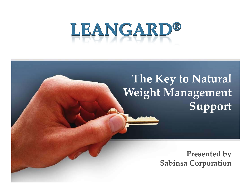# LEANGARD®

### **The Key to Natural Weight Management Support**

**Presented by Sabinsa Corporation**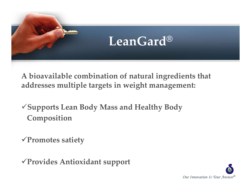

**A bioavailable combination of natural ingredients that addresses multiple targets in weight management:**

<sup>9</sup>**Supports Lean Body Mass and Healthy Body Composition**

<sup>9</sup>**Promotes satiety**

<sup>9</sup>**Provides Antioxidant suppor<sup>t</sup>**

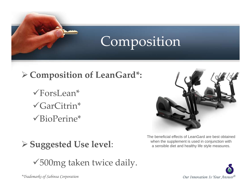

# Composition

### ¾ **Composition of LeanGard\*:**

 $\sqrt{\text{Fors}}$ Lean\*  $\sqrt{GarC}$ itrin\*  $\sqrt{\text{BioPerine}}$ \*

¾ **Suggested Use level**:

 $\sqrt{500}$ mg taken twice daily.



The beneficial effects of LeanGard are best obtained when the supplement is used in conjunction with a sensible diet and healthy life style measures.



*\*Trademarks of Sabinsa Corporation*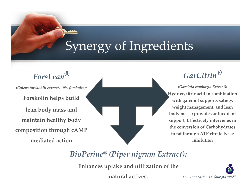# Synergy of Ingredients

*ForsLean® (Coleus forskohlii extract, 10% forskolin):* **Forskolin helps build lean body mass and maintain healthy body composition through cAMP mediated action**

*GarCitrin®*

*(Garcinia cambogia Extract):* **Hydroxycitric acid in combination with garcinol supports satiety, weight management, and lean body mass ; provides antioxidant support. Effectively intervenes in the conversion of Carbohydrates to fat through ATP citrate lyase inhibition**

*BioPerine® (Piper nigrum Extract):*

**Enhances uptake and utilization of the**

**natural actives.**

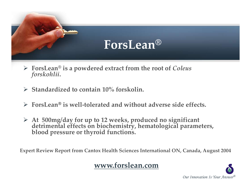### **ForsLean®**

- ¾ **ForsLean® is <sup>a</sup> powdered extract from the root of** *Coleus forskohlii***.**
- ¾ **Standardized to contain 10% forskolin.**
- ¾ **ForsLean**® **is well‐tolerated and without adverse side effects.**
- > At 500mg/day for up to 12 weeks, produced no significant<br>detrimental effects on biochemistry, hematological parameters,<br>blood pressure or thyroid functions.

**Expert Review Report from Cantox Health Sciences International ON, Canada, August 2004**

#### **www.forslean.com**

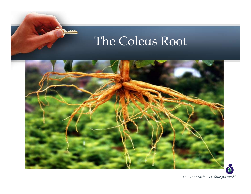### The Coleus Root

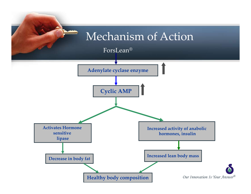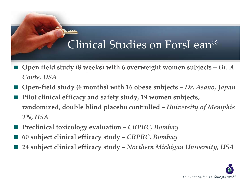### Clinical Studies on ForsLean®

- **Open field study (8 weeks) with <sup>6</sup> overweight women subjects –** *Dr. A. Conte, USA*
- **Open‐field study (6 months) with <sup>16</sup> obese subjects –** *Dr. Asano, Japan*
- **Pilot clinical efficacy and safety study, 19 women subjects, randomized, double blind placebo controlled –** *University of Memphis TN, USA*
- **Preclinical toxicology evaluation –** *CBPRC, Bombay*
- **60 subject clinical efficacy study –** *CBPRC, Bombay*
- **24 subject clinical efficacy study –** *Northern Michigan University, USA*

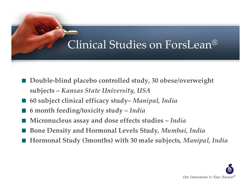### Clinical Studies on ForsLean®

- **Double‐blind placebo controlled study, <sup>30</sup> obese/overweight subjects –** *Kansas State University, USA*
- **60 subject clinical efficacy study–** *Manipal, India*
- **6 month feeding/toxicity study –** *India*
- **Micronucleus assay and dose effects studies –** *India*
- **Bone Density and Hormonal Levels Study***, Mumbai, India*
- **Hormonal Study (3months) with <sup>30</sup> male subjects***, Manipal, India*

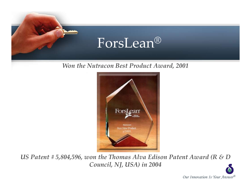

#### *Won the Nutracon Best Product Award, 2001*



*US Patent # 5,804,596, won the Thomas Alva Edison Patent Award (R & D Council, NJ, USA) in 2004*

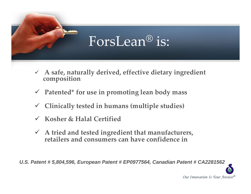# ForsLean® is:

- 9 **<sup>A</sup> safe, naturally derived, effective dietary ingredient composition**
- 9 **Patented\* for use in promoting lean body mass**
- $\checkmark$ **Clinically tested in humans (multiple studies)**
- $\checkmark$ **Kosher & Halal Certified**
- 9 **A tried and tested ingredient that manufacturers, retailers and consumers can have confidence in**

*U.S. Patent # 5,804,596, European Patent # EP0977564, Canadian Patent # CA2281562*

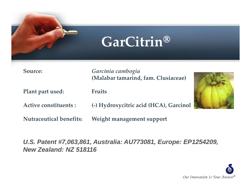

**Source:** *Garcinia cambogia* **(Malabar tamarind, fam. Clusiaceae)**

**Plant par<sup>t</sup> used: Fruits**

**Active constituents : (‐) Hydroxycitric acid (HCA), Garcinol**

**Nutraceutical benefits: Weight managemen<sup>t</sup> suppor<sup>t</sup>**

*U.S. Patent #7,063,861, Australia: AU773081, Europe: EP1254209, New Zealand: NZ 518116*



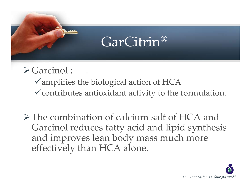# GarCitrin®

### $\triangleright$  Garcinol :

 $\checkmark$  amplifies the biological action of HCA  $\checkmark$  contributes antioxidant activity to the formulation.

¾The combination of calcium salt of HCA and Garcinol reduces fatty acid and lipid synthesis and improves lean body mass much more effectively than HCA alone.

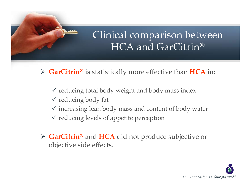### Clinical comparison between HCA and GarCitrin®

¾ **GarCitrin**® is statistically more effective than **HCA** in:

- $\checkmark$  reducing total body weight and body mass index
- $\checkmark$  reducing body fat
- $\checkmark$  increasing lean body mass and content of body water
- $\checkmark$  reducing levels of appetite perception
- ¾ **GarCitrin**® and **HCA** did not produce subjective or objective side effects.

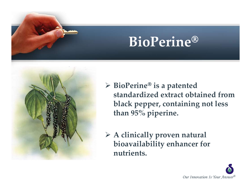# **BioPerine**®



¾ **BioPerine**® **is <sup>a</sup> patented standardized extract obtained fromblack pepper, containing not less than 95% piperine.**

¾ **A clinically proven natural bioavailability enhancer for nutrients.**

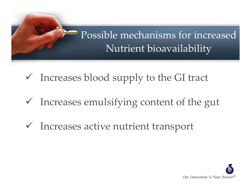

- $\checkmark$  Increases blood supply to the GI tract
- $\checkmark$  Increases emulsifying content of the gut
- $\checkmark$  Increases active nutrient transport

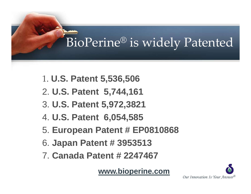# BioPerine® is widely Patented

- 1. **U.S. Patent 5,536,506**
- 2. **U.S. Patent 5,744,161**
- 3. **U.S. Patent 5,972,3821**
- 4. **U.S. Patent 6,054,585**
- 5. **European Patent # EP0810868**
- 6. **Japan Patent # 3953513**
- 7. **Canada Patent # 2247467**

**www.bioperine.com**

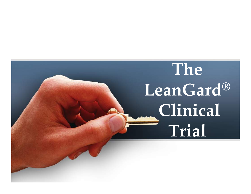# **The LeanGard ® Clinical Trial**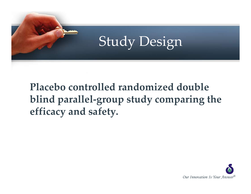

Study Design

**Placebo controlled randomized double blind parallel‐group study comparing the efficacy and safety.**

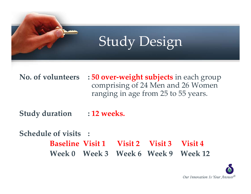

#### **No. of volunteers : <sup>50</sup> over‐weight subjects** in each group comprising of <sup>24</sup> Men and 26 Women ranging in age from 25 to <sup>55</sup> years.

**Study duration : <sup>12</sup> weeks.**

**Schedule of visits : Baseline Visit 1 Visit 2 Visit 3 Visit 4 Week 0 Week 3 Week 6 Week 9 Week 12**

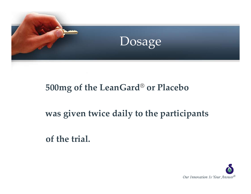

### **500mg of the LeanGard® or Placebo**

**was given twice daily to the participants**

**of the trial.**

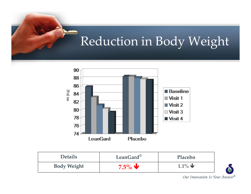# Reduction in Body Weight



| <b>Details</b>     | LeanGard <sup>®</sup> | Placebo                       |
|--------------------|-----------------------|-------------------------------|
| <b>Body Weight</b> | $7.5\%$ V             | $1.1\%$ $\blacktriangleright$ |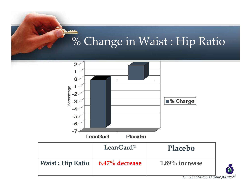## % Change in Waist : Hip Ratio

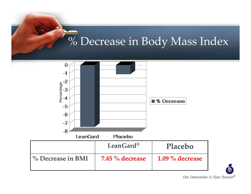# % Decrease in Body Mass Index

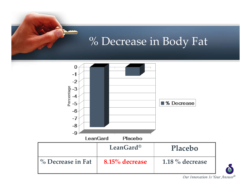

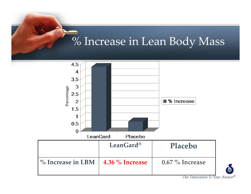### % Increase in Lean Body Mass

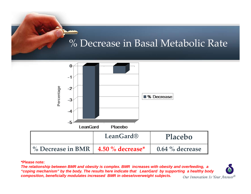### % Decrease in Basal Metabolic Rate



#### **\*Please note:**

*Our Innovation Is Your Answer® The relationship between BMR and obesity is complex. BMR increases with obesity and overfeeding, a "coping mechanism" by the body. The results here indicate that LeanGard by supporting a healthy body composition, beneficially modulates increased BMR in obese/overweight subjects.*

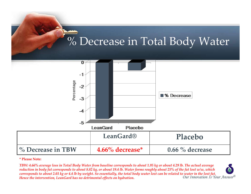# % Decrease in Total Body Water



**\* Please Note:**

*Our Innovation Is Your Answer®* TBW: 4.66% average loss in Total Body Water from baseline corresponds to about 1.95 kg or about 4.29 lb. The actual average reduction in body fat corresponds to about 8.82 kg, or about 19.4 lb. Water forms roughly about 25% of the fat lost w/w, which corresponds to about 2.03 kg or 4.4 lb by weight. So essentially, the total body water lost can be related to water in the lost fat. *Hence the intervention, LeanGard has no detrimental effects on hydration.*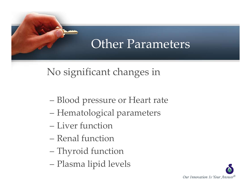### Other Parameters

No significant changes in

- Blood pressure or Heart rate
- Hematological parameters
- Liver function
- Renal function
- Thyroid function
- Plasma lipid levels

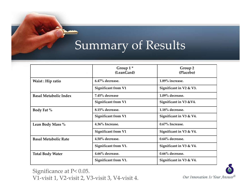# Summary of Results

|                              | Group $1^*$<br>(LeanGard)  | Group 2<br>(Placebo)    |
|------------------------------|----------------------------|-------------------------|
| Waist: Hip ratio             | 6.47% decrease.            | 1.89% increase.         |
|                              | <b>Significant from V1</b> | Significant in V2 & V3. |
| <b>Basal Metabolic Index</b> | 7.45% decrease             | 1.09% decrease.         |
|                              | <b>Significant from V1</b> | Significant in V3 & V4. |
| Body Fat %                   | 8.15% decrease.            | 1.18% decrease.         |
|                              | <b>Significant from V1</b> | Significant in V3 & V4. |
| Lean Body Mass %             | 4.36% Increase.            | $0.67\%$ Increase.      |
|                              | Significant from V1        | Significant in V3 & V4. |
| <b>Basal Metabolic Rate</b>  | 4.50% decrease.            | 0.64% decrease.         |
|                              | Significant from V1.       | Significant in V3 & V4. |
| <b>Total Body Water</b>      | 4.66% decrease.            | 0.66% decrease.         |
|                              | Significant from V1.       | Significant in V3 & V4. |

Significance at P< 0.05. V1‐visit 1, V2‐visit 2, V3‐visit 3, V4‐visit 4.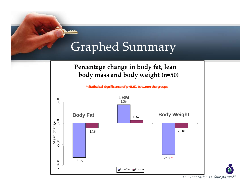### Graphed Summary

**Percentage change in body fat, lean body mass and body weight (n=50)**

**\* Statistical significance of p<0.01 between the groups**

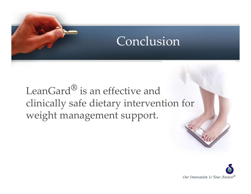### Conclusion

LeanGard**®** is an effective and clinically safe dietary intervention for weight managemen<sup>t</sup> support.